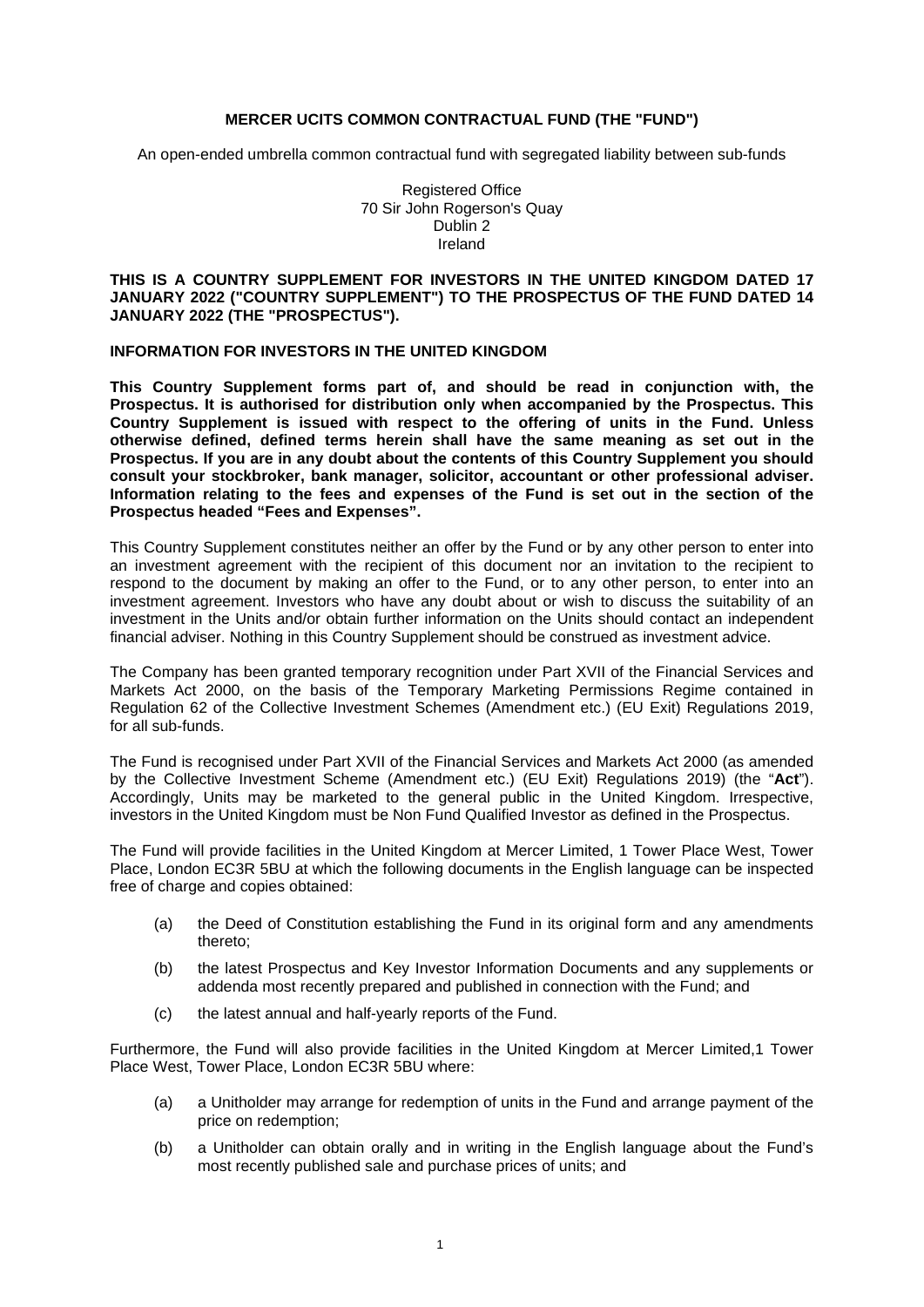#### **MERCER UCITS COMMON CONTRACTUAL FUND (THE "FUND")**

An open-ended umbrella common contractual fund with segregated liability between sub-funds

Registered Office 70 Sir John Rogerson's Quay Dublin 2 Ireland

### **THIS IS A COUNTRY SUPPLEMENT FOR INVESTORS IN THE UNITED KINGDOM DATED 17 JANUARY 2022 ("COUNTRY SUPPLEMENT") TO THE PROSPECTUS OF THE FUND DATED 14 JANUARY 2022 (THE "PROSPECTUS").**

#### **INFORMATION FOR INVESTORS IN THE UNITED KINGDOM**

**This Country Supplement forms part of, and should be read in conjunction with, the Prospectus. It is authorised for distribution only when accompanied by the Prospectus. This Country Supplement is issued with respect to the offering of units in the Fund. Unless otherwise defined, defined terms herein shall have the same meaning as set out in the Prospectus. If you are in any doubt about the contents of this Country Supplement you should consult your stockbroker, bank manager, solicitor, accountant or other professional adviser. Information relating to the fees and expenses of the Fund is set out in the section of the Prospectus headed "Fees and Expenses".** 

This Country Supplement constitutes neither an offer by the Fund or by any other person to enter into an investment agreement with the recipient of this document nor an invitation to the recipient to respond to the document by making an offer to the Fund, or to any other person, to enter into an investment agreement. Investors who have any doubt about or wish to discuss the suitability of an investment in the Units and/or obtain further information on the Units should contact an independent financial adviser. Nothing in this Country Supplement should be construed as investment advice.

The Company has been granted temporary recognition under Part XVII of the Financial Services and Markets Act 2000, on the basis of the Temporary Marketing Permissions Regime contained in Regulation 62 of the Collective Investment Schemes (Amendment etc.) (EU Exit) Regulations 2019, for all sub-funds.

The Fund is recognised under Part XVII of the Financial Services and Markets Act 2000 (as amended by the Collective Investment Scheme (Amendment etc.) (EU Exit) Regulations 2019) (the "**Act**"). Accordingly, Units may be marketed to the general public in the United Kingdom. Irrespective, investors in the United Kingdom must be Non Fund Qualified Investor as defined in the Prospectus.

The Fund will provide facilities in the United Kingdom at Mercer Limited, 1 Tower Place West, Tower Place, London EC3R 5BU at which the following documents in the English language can be inspected free of charge and copies obtained:

- (a) the Deed of Constitution establishing the Fund in its original form and any amendments thereto;
- (b) the latest Prospectus and Key Investor Information Documents and any supplements or addenda most recently prepared and published in connection with the Fund; and
- (c) the latest annual and half-yearly reports of the Fund.

Furthermore, the Fund will also provide facilities in the United Kingdom at Mercer Limited,1 Tower Place West, Tower Place, London EC3R 5BU where:

- (a) a Unitholder may arrange for redemption of units in the Fund and arrange payment of the price on redemption;
- (b) a Unitholder can obtain orally and in writing in the English language about the Fund's most recently published sale and purchase prices of units; and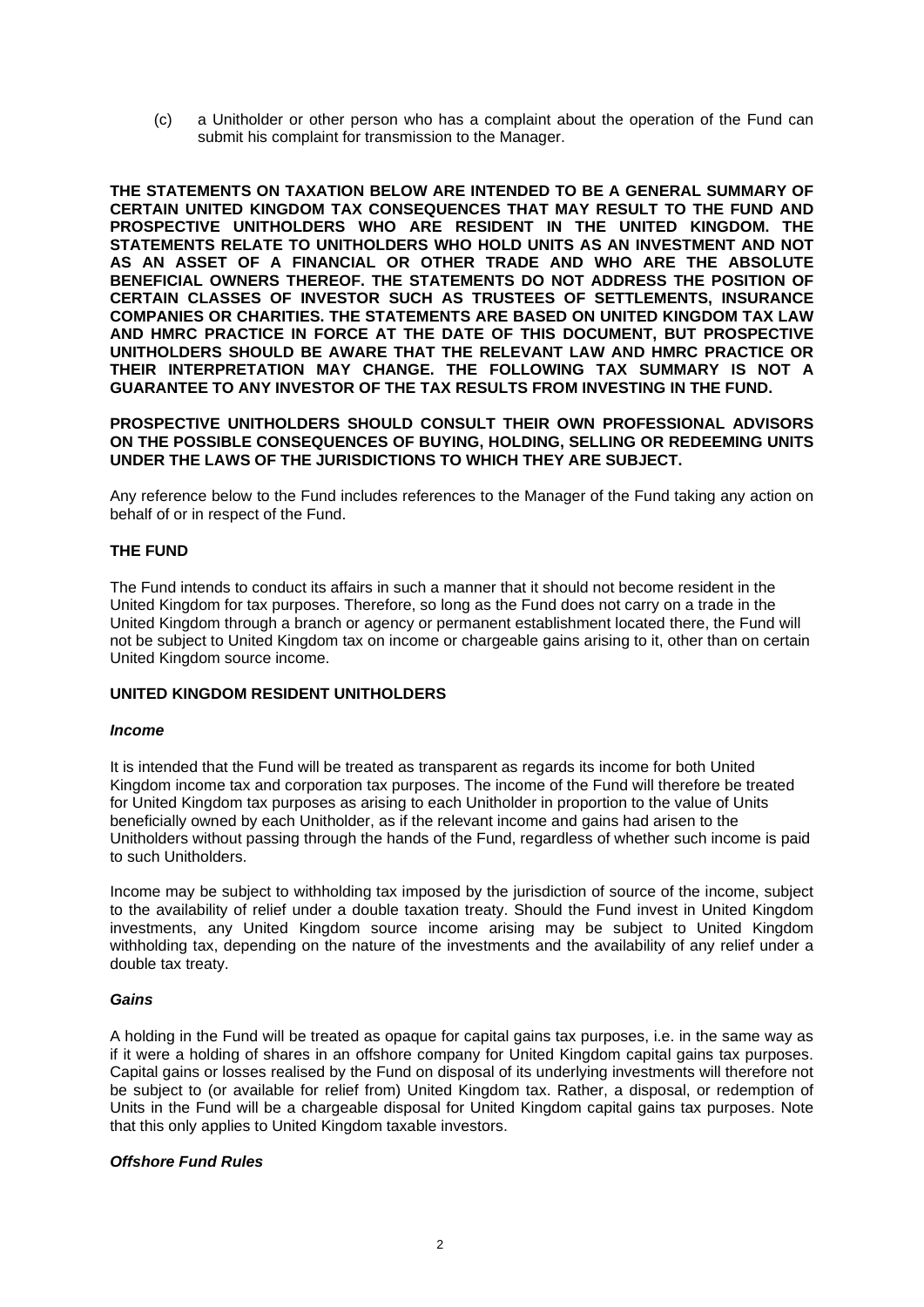(c) a Unitholder or other person who has a complaint about the operation of the Fund can submit his complaint for transmission to the Manager.

**THE STATEMENTS ON TAXATION BELOW ARE INTENDED TO BE A GENERAL SUMMARY OF CERTAIN UNITED KINGDOM TAX CONSEQUENCES THAT MAY RESULT TO THE FUND AND PROSPECTIVE UNITHOLDERS WHO ARE RESIDENT IN THE UNITED KINGDOM. THE STATEMENTS RELATE TO UNITHOLDERS WHO HOLD UNITS AS AN INVESTMENT AND NOT AS AN ASSET OF A FINANCIAL OR OTHER TRADE AND WHO ARE THE ABSOLUTE BENEFICIAL OWNERS THEREOF. THE STATEMENTS DO NOT ADDRESS THE POSITION OF CERTAIN CLASSES OF INVESTOR SUCH AS TRUSTEES OF SETTLEMENTS, INSURANCE COMPANIES OR CHARITIES. THE STATEMENTS ARE BASED ON UNITED KINGDOM TAX LAW AND HMRC PRACTICE IN FORCE AT THE DATE OF THIS DOCUMENT, BUT PROSPECTIVE UNITHOLDERS SHOULD BE AWARE THAT THE RELEVANT LAW AND HMRC PRACTICE OR THEIR INTERPRETATION MAY CHANGE. THE FOLLOWING TAX SUMMARY IS NOT A GUARANTEE TO ANY INVESTOR OF THE TAX RESULTS FROM INVESTING IN THE FUND.** 

**PROSPECTIVE UNITHOLDERS SHOULD CONSULT THEIR OWN PROFESSIONAL ADVISORS ON THE POSSIBLE CONSEQUENCES OF BUYING, HOLDING, SELLING OR REDEEMING UNITS UNDER THE LAWS OF THE JURISDICTIONS TO WHICH THEY ARE SUBJECT.**

Any reference below to the Fund includes references to the Manager of the Fund taking any action on behalf of or in respect of the Fund.

## **THE FUND**

The Fund intends to conduct its affairs in such a manner that it should not become resident in the United Kingdom for tax purposes. Therefore, so long as the Fund does not carry on a trade in the United Kingdom through a branch or agency or permanent establishment located there, the Fund will not be subject to United Kingdom tax on income or chargeable gains arising to it, other than on certain United Kingdom source income.

#### **UNITED KINGDOM RESIDENT UNITHOLDERS**

#### *Income*

It is intended that the Fund will be treated as transparent as regards its income for both United Kingdom income tax and corporation tax purposes. The income of the Fund will therefore be treated for United Kingdom tax purposes as arising to each Unitholder in proportion to the value of Units beneficially owned by each Unitholder, as if the relevant income and gains had arisen to the Unitholders without passing through the hands of the Fund, regardless of whether such income is paid to such Unitholders.

Income may be subject to withholding tax imposed by the jurisdiction of source of the income, subject to the availability of relief under a double taxation treaty. Should the Fund invest in United Kingdom investments, any United Kingdom source income arising may be subject to United Kingdom withholding tax, depending on the nature of the investments and the availability of any relief under a double tax treaty.

#### *Gains*

A holding in the Fund will be treated as opaque for capital gains tax purposes, i.e. in the same way as if it were a holding of shares in an offshore company for United Kingdom capital gains tax purposes. Capital gains or losses realised by the Fund on disposal of its underlying investments will therefore not be subject to (or available for relief from) United Kingdom tax. Rather, a disposal, or redemption of Units in the Fund will be a chargeable disposal for United Kingdom capital gains tax purposes. Note that this only applies to United Kingdom taxable investors.

# *Offshore Fund Rules*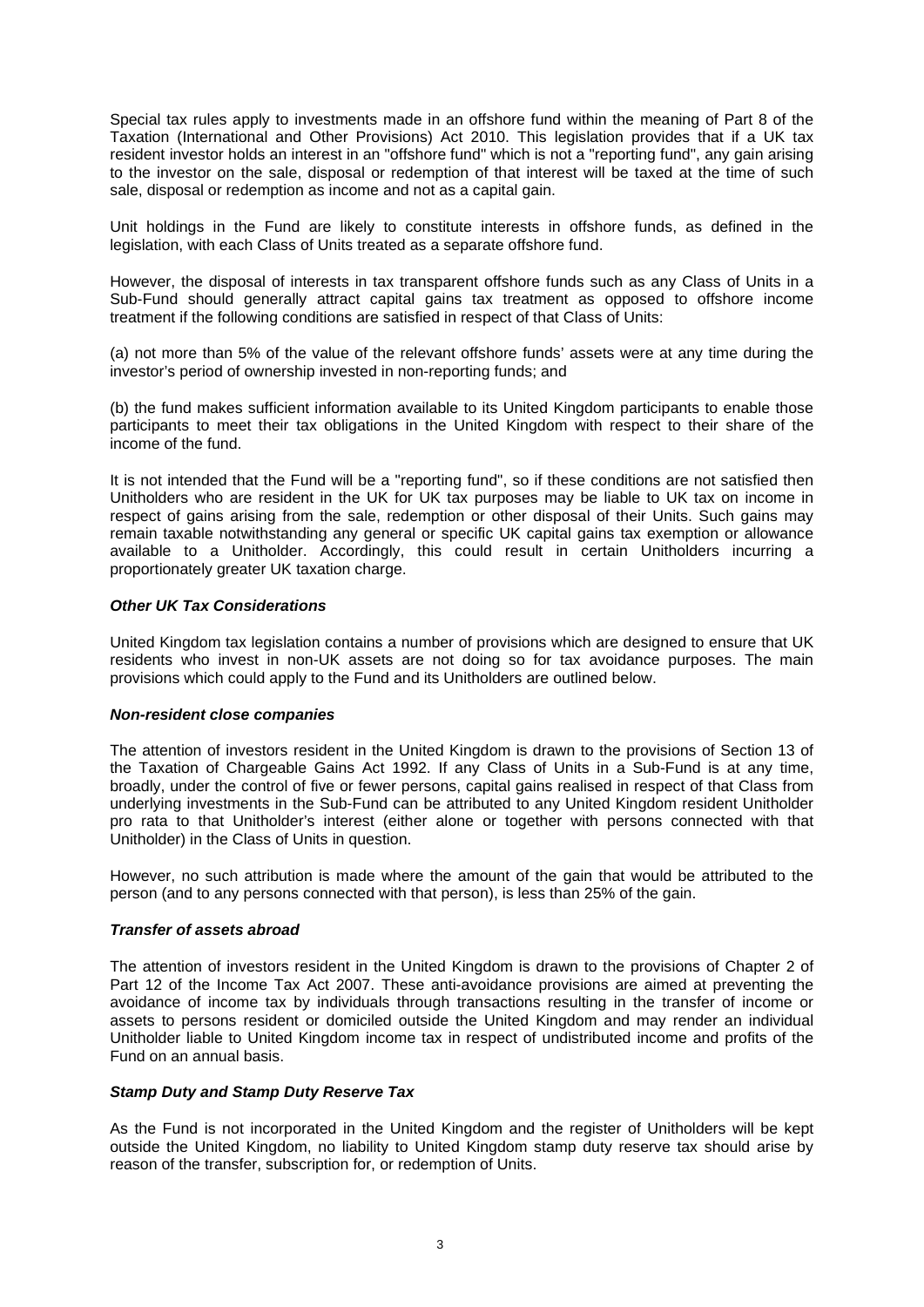Special tax rules apply to investments made in an offshore fund within the meaning of Part 8 of the Taxation (International and Other Provisions) Act 2010. This legislation provides that if a UK tax resident investor holds an interest in an "offshore fund" which is not a "reporting fund", any gain arising to the investor on the sale, disposal or redemption of that interest will be taxed at the time of such sale, disposal or redemption as income and not as a capital gain.

Unit holdings in the Fund are likely to constitute interests in offshore funds, as defined in the legislation, with each Class of Units treated as a separate offshore fund.

However, the disposal of interests in tax transparent offshore funds such as any Class of Units in a Sub-Fund should generally attract capital gains tax treatment as opposed to offshore income treatment if the following conditions are satisfied in respect of that Class of Units:

(a) not more than 5% of the value of the relevant offshore funds' assets were at any time during the investor's period of ownership invested in non-reporting funds; and

(b) the fund makes sufficient information available to its United Kingdom participants to enable those participants to meet their tax obligations in the United Kingdom with respect to their share of the income of the fund.

It is not intended that the Fund will be a "reporting fund", so if these conditions are not satisfied then Unitholders who are resident in the UK for UK tax purposes may be liable to UK tax on income in respect of gains arising from the sale, redemption or other disposal of their Units. Such gains may remain taxable notwithstanding any general or specific UK capital gains tax exemption or allowance available to a Unitholder. Accordingly, this could result in certain Unitholders incurring a proportionately greater UK taxation charge.

#### *Other UK Tax Considerations*

United Kingdom tax legislation contains a number of provisions which are designed to ensure that UK residents who invest in non-UK assets are not doing so for tax avoidance purposes. The main provisions which could apply to the Fund and its Unitholders are outlined below.

#### *Non-resident close companies*

The attention of investors resident in the United Kingdom is drawn to the provisions of Section 13 of the Taxation of Chargeable Gains Act 1992. If any Class of Units in a Sub-Fund is at any time, broadly, under the control of five or fewer persons, capital gains realised in respect of that Class from underlying investments in the Sub-Fund can be attributed to any United Kingdom resident Unitholder pro rata to that Unitholder's interest (either alone or together with persons connected with that Unitholder) in the Class of Units in question.

However, no such attribution is made where the amount of the gain that would be attributed to the person (and to any persons connected with that person), is less than 25% of the gain.

## *Transfer of assets abroad*

The attention of investors resident in the United Kingdom is drawn to the provisions of Chapter 2 of Part 12 of the Income Tax Act 2007. These anti-avoidance provisions are aimed at preventing the avoidance of income tax by individuals through transactions resulting in the transfer of income or assets to persons resident or domiciled outside the United Kingdom and may render an individual Unitholder liable to United Kingdom income tax in respect of undistributed income and profits of the Fund on an annual basis.

#### *Stamp Duty and Stamp Duty Reserve Tax*

As the Fund is not incorporated in the United Kingdom and the register of Unitholders will be kept outside the United Kingdom, no liability to United Kingdom stamp duty reserve tax should arise by reason of the transfer, subscription for, or redemption of Units.